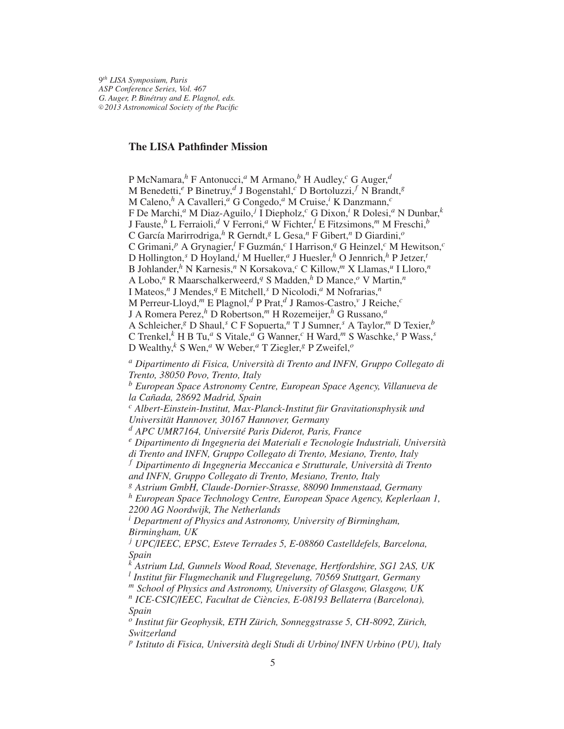9 *th LISA Symposium, Paris ASP Conference Series, Vol. 467 G. Auger, P. Bin´etruy and E. Plagnol, eds.* <sup>c</sup> *2013 Astronomical Society of the Pacific*

# **The LISA Pathfinder Mission**

P McNamara,*<sup>h</sup>* F Antonucci,*<sup>a</sup>* M Armano,*<sup>b</sup>* H Audley,*<sup>c</sup>* G Auger,*<sup>d</sup>* M Benedetti,*<sup>e</sup>* P Binetruy,*<sup>d</sup>* J Bogenstahl,*<sup>c</sup>* D Bortoluzzi, *<sup>f</sup>* N Brandt,*<sup>g</sup>* M Caleno,*<sup>h</sup>* A Cavalleri,*<sup>a</sup>* G Congedo,*<sup>a</sup>* M Cruise,*<sup>i</sup>* K Danzmann,*<sup>c</sup>* F De Marchi,*<sup>a</sup>* M Diaz-Aguilo, *<sup>j</sup>* I Diepholz,*<sup>c</sup>* G Dixon,*<sup>i</sup>* R Dolesi,*<sup>a</sup>* N Dunbar,*<sup>k</sup>* J Fauste,*<sup>b</sup>* L Ferraioli,*<sup>d</sup>* V Ferroni,*<sup>a</sup>* W Fichter,*<sup>l</sup>* E Fitzsimons,*<sup>m</sup>* M Freschi,*<sup>b</sup>* C Garc´ıa Marirrodriga,*<sup>h</sup>* R Gerndt,*<sup>g</sup>* L Gesa,*<sup>n</sup>* F Gibert,*<sup>n</sup>* D Giardini,*<sup>o</sup>* C Grimani,<sup>p</sup> A Grynagier,<sup>l</sup> F Guzmán,<sup>c</sup> I Harrison,<sup>q</sup> G Heinzel,<sup>c</sup> M Hewitson,<sup>c</sup> D Hollington,*<sup>s</sup>* D Hoyland,*<sup>i</sup>* M Hueller,*<sup>a</sup>* J Huesler,*<sup>h</sup>* O Jennrich,*<sup>h</sup>* P Jetzer,*<sup>t</sup>* B Johlander,*<sup>h</sup>* N Karnesis,*<sup>n</sup>* N Korsakova,*<sup>c</sup>* C Killow,*<sup>m</sup>* X Llamas,*<sup>u</sup>* I Lloro,*<sup>n</sup>* A Lobo,*<sup>n</sup>* R Maarschalkerweerd,*<sup>q</sup>* S Madden,*<sup>h</sup>* D Mance,*<sup>o</sup>* V Martin,*<sup>n</sup>* I Mateos,*<sup>n</sup>* J Mendes,*<sup>q</sup>* E Mitchell,*<sup>s</sup>* D Nicolodi,*<sup>a</sup>* M Nofrarias,*<sup>n</sup>* M Perreur-Lloyd,*<sup>m</sup>* E Plagnol,*<sup>d</sup>* P Prat,*<sup>d</sup>* J Ramos-Castro,*<sup>v</sup>* J Reiche,*<sup>c</sup>* J A Romera Perez,*<sup>h</sup>* D Robertson,*<sup>m</sup>* H Rozemeijer,*<sup>h</sup>* G Russano,*<sup>a</sup>* A Schleicher,*<sup>g</sup>* D Shaul,*<sup>s</sup>* C F Sopuerta,*<sup>n</sup>* T J Sumner,*<sup>s</sup>* A Taylor,*<sup>m</sup>* D Texier,*<sup>b</sup>* C Trenkel,*<sup>k</sup>* H B Tu,*<sup>a</sup>* S Vitale,*<sup>a</sup>* G Wanner,*<sup>c</sup>* H Ward,*<sup>m</sup>* S Waschke,*<sup>s</sup>* P Wass,*<sup>s</sup>* D Wealthy,*<sup>k</sup>* S Wen,*<sup>a</sup>* W Weber,*<sup>a</sup>* T Ziegler,*<sup>g</sup>* P Zweifel,*<sup>o</sup>*

<sup>*a*</sup> Dipartimento di Fisica, Università di Trento and INFN, Gruppo Collegato di *Trento, 38050 Povo, Trento, Italy*

*<sup>b</sup> European Space Astronomy Centre, European Space Agency, Villanueva de la Ca ˜nada, 28692 Madrid, Spain*

<sup>c</sup> Albert-Einstein-Institut, Max-Planck-Institut für Gravitationsphysik und *Universität Hannover, 30167 Hannover, Germany* 

*<sup>d</sup> APC UMR7164, Universit´e Paris Diderot, Paris, France*

<sup>e</sup> Dipartimento di Ingegneria dei Materiali e Tecnologie Industriali, Università

*di Trento and INFN, Gruppo Collegato di Trento, Mesiano, Trento, Italy* <sup>f</sup> Dipartimento di Ingegneria Meccanica e Strutturale, Università di Trento *and INFN, Gruppo Collegato di Trento, Mesiano, Trento, Italy*

*<sup>g</sup> Astrium GmbH, Claude-Dornier-Strasse, 88090 Immenstaad, Germany*

*<sup>h</sup> European Space Technology Centre, European Space Agency, Keplerlaan 1, 2200 AG Noordwijk, The Netherlands*

*<sup>i</sup> Department of Physics and Astronomy, University of Birmingham, Birmingham, UK*

*<sup>j</sup> UPC*/*IEEC, EPSC, Esteve Terrades 5, E-08860 Castelldefels, Barcelona, Spain*

*<sup>k</sup> Astrium Ltd, Gunnels Wood Road, Stevenage, Hertfordshire, SG1 2AS, UK* <sup>l</sup> Institut für Flugmechanik und Flugregelung, 70569 Stuttgart, Germany

*<sup>m</sup> School of Physics and Astronomy, University of Glasgow, Glasgow, UK*

<sup>n</sup> ICE-CSIC/*IEEC, Facultat de Ciències, E-08193 Bellaterra (Barcelona), Spain*

<sup>o</sup> Institut für Geophysik, ETH Zürich, Sonneggstrasse 5, CH-8092, Zürich, *Switzerland*

<sup>p</sup> Istituto di Fisica, Università degli Studi di Urbino/ **INFN Urbino (PU)**, Italy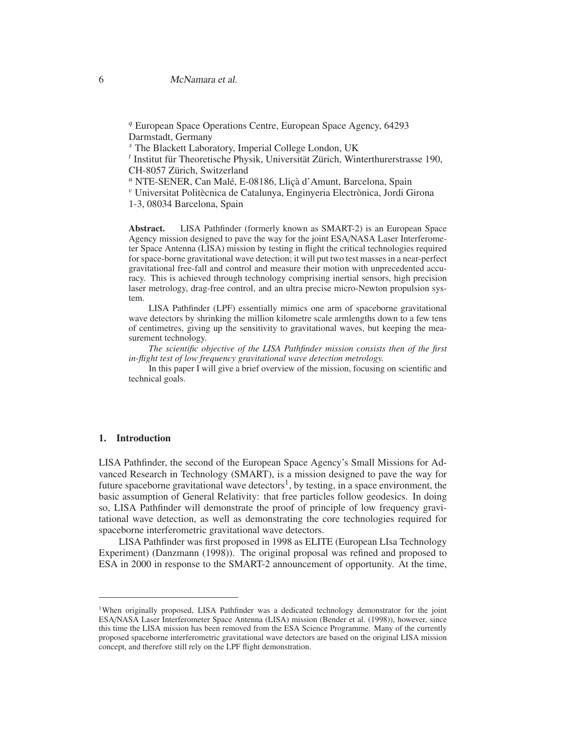*<sup>q</sup>* European Space Operations Centre, European Space Agency, 64293 Darmstadt, Germany

*<sup>s</sup>* The Blackett Laboratory, Imperial College London, UK

<sup>t</sup> Institut für Theoretische Physik, Universität Zürich, Winterthurerstrasse 190, CH-8057 Zürich, Switzerland

<sup>u</sup> NTE-SENER, Can Malé, E-08186, Lliçà d'Amunt, Barcelona, Spain

<sup>*v*</sup> Universitat Politècnica de Catalunya, Enginyeria Electrònica, Jordi Girona

1-3, 08034 Barcelona, Spain

**Abstract.** LISA Pathfinder (formerly known as SMART-2) is an European Space Agency mission designed to pave the way for the joint ESA/NASA Laser Interferometer Space Antenna (LISA) mission by testing in flight the critical technologies required for space-borne gravitational wave detection; it will put two test masses in a near-perfect gravitational free-fall and control and measure their motion with unprecedented accuracy. This is achieved through technology comprising inertial sensors, high precision laser metrology, drag-free control, and an ultra precise micro-Newton propulsion system.

LISA Pathfinder (LPF) essentially mimics one arm of spaceborne gravitational wave detectors by shrinking the million kilometre scale armlengths down to a few tens of centimetres, giving up the sensitivity to gravitational waves, but keeping the measurement technology.

*The scientific objective of the LISA Pathfinder mission consists then of the first in-flight test of low frequency gravitational wave detection metrology.*

In this paper I will give a brief overview of the mission, focusing on scientific and technical goals.

# **1. Introduction**

LISA Pathfinder, the second of the European Space Agency's Small Missions for Advanced Research in Technology (SMART), is a mission designed to pave the way for future spaceborne gravitational wave detectors<sup>1</sup>, by testing, in a space environment, the basic assumption of General Relativity: that free particles follow geodesics. In doing so, LISA Pathfinder will demonstrate the proof of principle of low frequency gravitational wave detection, as well as demonstrating the core technologies required for spaceborne interferometric gravitational wave detectors.

LISA Pathfinder was first proposed in 1998 as ELITE (European LIsa Technology Experiment) (Danzmann (1998)). The original proposal was refined and proposed to ESA in 2000 in response to the SMART-2 announcement of opportunity. At the time,

<sup>&</sup>lt;sup>1</sup>When originally proposed, LISA Pathfinder was a dedicated technology demonstrator for the joint ESA/NASA Laser Interferometer Space Antenna (LISA) mission (Bender et al. (1998)), however, since this time the LISA mission has been removed from the ESA Science Programme. Many of the currently proposed spaceborne interferometric gravitational wave detectors are based on the original LISA mission concept, and therefore still rely on the LPF flight demonstration.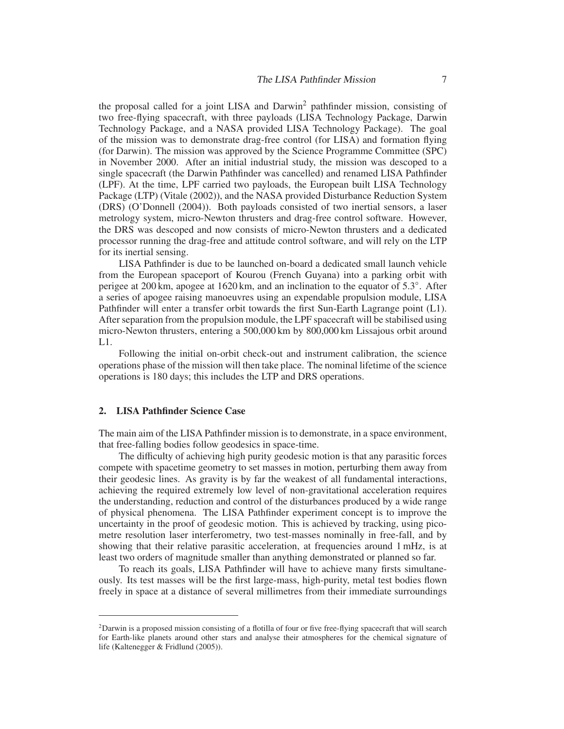the proposal called for a joint LISA and Darwin<sup>2</sup> pathfinder mission, consisting of two free-flying spacecraft, with three payloads (LISA Technology Package, Darwin Technology Package, and a NASA provided LISA Technology Package). The goal of the mission was to demonstrate drag-free control (for LISA) and formation flying (for Darwin). The mission was approved by the Science Programme Committee (SPC) in November 2000. After an initial industrial study, the mission was descoped to a single spacecraft (the Darwin Pathfinder was cancelled) and renamed LISA Pathfinder (LPF). At the time, LPF carried two payloads, the European built LISA Technology Package (LTP) (Vitale (2002)), and the NASA provided Disturbance Reduction System (DRS) (O'Donnell (2004)). Both payloads consisted of two inertial sensors, a laser metrology system, micro-Newton thrusters and drag-free control software. However, the DRS was descoped and now consists of micro-Newton thrusters and a dedicated processor running the drag-free and attitude control software, and will rely on the LTP for its inertial sensing.

LISA Pathfinder is due to be launched on-board a dedicated small launch vehicle from the European spaceport of Kourou (French Guyana) into a parking orbit with perigee at 200 km, apogee at 1620 km, and an inclination to the equator of 5.3◦ . After a series of apogee raising manoeuvres using an expendable propulsion module, LISA Pathfinder will enter a transfer orbit towards the first Sun-Earth Lagrange point (L1). After separation from the propulsion module, the LPF spacecraft will be stabilised using micro-Newton thrusters, entering a 500,000 km by 800,000 km Lissajous orbit around  $L1.$ 

Following the initial on-orbit check-out and instrument calibration, the science operations phase of the mission will then take place. The nominal lifetime of the science operations is 180 days; this includes the LTP and DRS operations.

### **2. LISA Pathfinder Science Case**

The main aim of the LISA Pathfinder mission is to demonstrate, in a space environment, that free-falling bodies follow geodesics in space-time.

The difficulty of achieving high purity geodesic motion is that any parasitic forces compete with spacetime geometry to set masses in motion, perturbing them away from their geodesic lines. As gravity is by far the weakest of all fundamental interactions, achieving the required extremely low level of non-gravitational acceleration requires the understanding, reduction and control of the disturbances produced by a wide range of physical phenomena. The LISA Pathfinder experiment concept is to improve the uncertainty in the proof of geodesic motion. This is achieved by tracking, using picometre resolution laser interferometry, two test-masses nominally in free-fall, and by showing that their relative parasitic acceleration, at frequencies around 1 mHz, is at least two orders of magnitude smaller than anything demonstrated or planned so far.

To reach its goals, LISA Pathfinder will have to achieve many firsts simultaneously. Its test masses will be the first large-mass, high-purity, metal test bodies flown freely in space at a distance of several millimetres from their immediate surroundings

<sup>2</sup>Darwin is a proposed mission consisting of a flotilla of four or five free-flying spacecraft that will search for Earth-like planets around other stars and analyse their atmospheres for the chemical signature of life (Kaltenegger & Fridlund (2005)).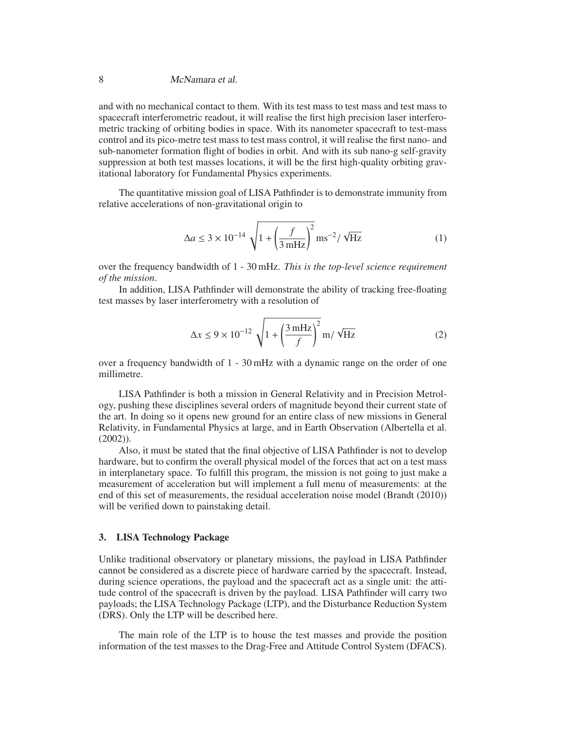# 8 McNamara et al.

and with no mechanical contact to them. With its test mass to test mass and test mass to spacecraft interferometric readout, it will realise the first high precision laser interferometric tracking of orbiting bodies in space. With its nanometer spacecraft to test-mass control and its pico-metre test mass to test mass control, it will realise the first nano- and sub-nanometer formation flight of bodies in orbit. And with its sub nano-g self-gravity suppression at both test masses locations, it will be the first high-quality orbiting gravitational laboratory for Fundamental Physics experiments.

The quantitative mission goal of LISA Pathfinder is to demonstrate immunity from relative accelerations of non-gravitational origin to

$$
\Delta a \le 3 \times 10^{-14} \sqrt{1 + \left(\frac{f}{3 \text{ mHz}}\right)^2} \text{ ms}^{-2} / \sqrt{\text{Hz}}
$$
 (1)

over the frequency bandwidth of 1 - 30 mHz. *This is the top-level science requirement of the mission*.

In addition, LISA Pathfinder will demonstrate the ability of tracking free-floating test masses by laser interferometry with a resolution of

$$
\Delta x \le 9 \times 10^{-12} \sqrt{1 + \left(\frac{3 \text{ mHz}}{f}\right)^2} \text{ m} / \sqrt{\text{Hz}}
$$
 (2)

over a frequency bandwidth of 1 - 30 mHz with a dynamic range on the order of one millimetre.

LISA Pathfinder is both a mission in General Relativity and in Precision Metrology, pushing these disciplines several orders of magnitude beyond their current state of the art. In doing so it opens new ground for an entire class of new missions in General Relativity, in Fundamental Physics at large, and in Earth Observation (Albertella et al. (2002)).

Also, it must be stated that the final objective of LISA Pathfinder is not to develop hardware, but to confirm the overall physical model of the forces that act on a test mass in interplanetary space. To fulfill this program, the mission is not going to just make a measurement of acceleration but will implement a full menu of measurements: at the end of this set of measurements, the residual acceleration noise model (Brandt (2010)) will be verified down to painstaking detail.

### **3. LISA Technology Package**

Unlike traditional observatory or planetary missions, the payload in LISA Pathfinder cannot be considered as a discrete piece of hardware carried by the spacecraft. Instead, during science operations, the payload and the spacecraft act as a single unit: the attitude control of the spacecraft is driven by the payload. LISA Pathfinder will carry two payloads; the LISA Technology Package (LTP), and the Disturbance Reduction System (DRS). Only the LTP will be described here.

The main role of the LTP is to house the test masses and provide the position information of the test masses to the Drag-Free and Attitude Control System (DFACS).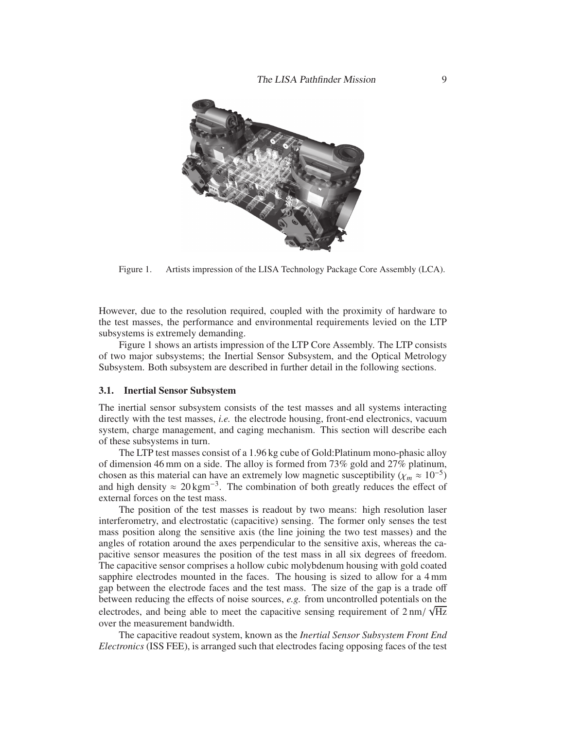

Figure 1. Artists impression of the LISA Technology Package Core Assembly (LCA).

However, due to the resolution required, coupled with the proximity of hardware to the test masses, the performance and environmental requirements levied on the LTP subsystems is extremely demanding.

Figure 1 shows an artists impression of the LTP Core Assembly. The LTP consists of two major subsystems; the Inertial Sensor Subsystem, and the Optical Metrology Subsystem. Both subsystem are described in further detail in the following sections.

#### **3.1. Inertial Sensor Subsystem**

The inertial sensor subsystem consists of the test masses and all systems interacting directly with the test masses, *i.e.* the electrode housing, front-end electronics, vacuum system, charge management, and caging mechanism. This section will describe each of these subsystems in turn.

The LTP test masses consist of a 1.96 kg cube of Gold:Platinum mono-phasic alloy of dimension 46 mm on a side. The alloy is formed from 73% gold and 27% platinum, chosen as this material can have an extremely low magnetic susceptibility ( $\chi_m \approx 10^{-5}$ ) and high density  $\approx 20 \text{ kgm}^{-3}$ . The combination of both greatly reduces the effect of external forces on the test mass.

The position of the test masses is readout by two means: high resolution laser interferometry, and electrostatic (capacitive) sensing. The former only senses the test mass position along the sensitive axis (the line joining the two test masses) and the angles of rotation around the axes perpendicular to the sensitive axis, whereas the capacitive sensor measures the position of the test mass in all six degrees of freedom. The capacitive sensor comprises a hollow cubic molybdenum housing with gold coated sapphire electrodes mounted in the faces. The housing is sized to allow for a 4 mm gap between the electrode faces and the test mass. The size of the gap is a trade off between reducing the effects of noise sources, *e.g.* from uncontrolled potentials on the electrodes, and being able to meet the capacitive sensing requirement of  $2 \text{ nm} / \sqrt{\text{Hz}}$ over the measurement bandwidth.

The capacitive readout system, known as the *Inertial Sensor Subsystem Front End Electronics* (ISS FEE), is arranged such that electrodes facing opposing faces of the test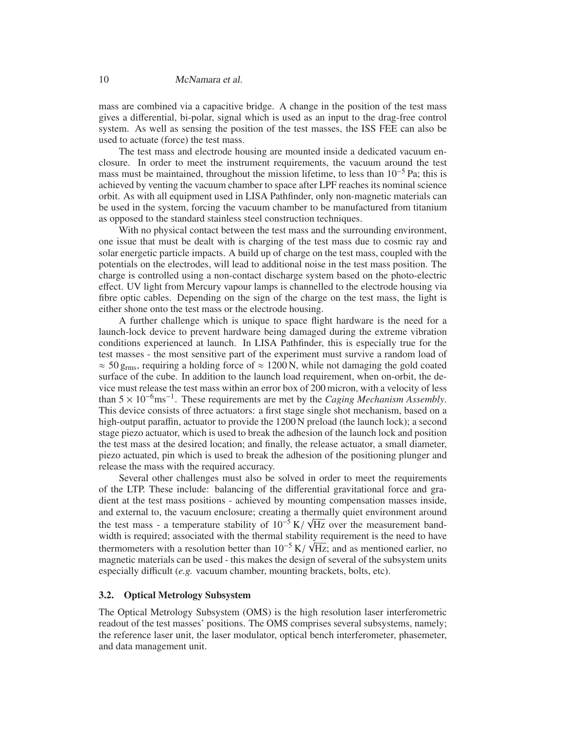mass are combined via a capacitive bridge. A change in the position of the test mass gives a differential, bi-polar, signal which is used as an input to the drag-free control system. As well as sensing the position of the test masses, the ISS FEE can also be used to actuate (force) the test mass.

The test mass and electrode housing are mounted inside a dedicated vacuum enclosure. In order to meet the instrument requirements, the vacuum around the test mass must be maintained, throughout the mission lifetime, to less than  $10^{-5}$  Pa; this is achieved by venting the vacuum chamber to space after LPF reaches its nominal science orbit. As with all equipment used in LISA Pathfinder, only non-magnetic materials can be used in the system, forcing the vacuum chamber to be manufactured from titanium as opposed to the standard stainless steel construction techniques.

With no physical contact between the test mass and the surrounding environment, one issue that must be dealt with is charging of the test mass due to cosmic ray and solar energetic particle impacts. A build up of charge on the test mass, coupled with the potentials on the electrodes, will lead to additional noise in the test mass position. The charge is controlled using a non-contact discharge system based on the photo-electric effect. UV light from Mercury vapour lamps is channelled to the electrode housing via fibre optic cables. Depending on the sign of the charge on the test mass, the light is either shone onto the test mass or the electrode housing.

A further challenge which is unique to space flight hardware is the need for a launch-lock device to prevent hardware being damaged during the extreme vibration conditions experienced at launch. In LISA Pathfinder, this is especially true for the test masses - the most sensitive part of the experiment must survive a random load of  $\approx$  50 g<sub>rms</sub>, requiring a holding force of  $\approx$  1200 N, while not damaging the gold coated surface of the cube. In addition to the launch load requirement, when on-orbit, the device must release the test mass within an error box of 200 micron, with a velocity of less than 5 <sup>×</sup> <sup>10</sup>−6ms−<sup>1</sup> . These requirements are met by the *Caging Mechanism Assembly*. This device consists of three actuators: a first stage single shot mechanism, based on a high-output paraffin, actuator to provide the 1200 N preload (the launch lock); a second stage piezo actuator, which is used to break the adhesion of the launch lock and position the test mass at the desired location; and finally, the release actuator, a small diameter, piezo actuated, pin which is used to break the adhesion of the positioning plunger and release the mass with the required accuracy.

Several other challenges must also be solved in order to meet the requirements of the LTP. These include: balancing of the differential gravitational force and gradient at the test mass positions - achieved by mounting compensation masses inside, and external to, the vacuum enclosure; creating a thermally quiet environment around the test mass - a temperature stability of  $10^{-5}$  K/ $\sqrt{Hz}$  over the measurement bandwidth is required; associated with the thermal stability requirement is the need to have thermometers with a resolution better than  $10^{-5}$  K/ $\sqrt{Hz}$ ; and as mentioned earlier, no magnetic materials can be used - this makes the design of several of the subsystem units especially difficult (*e.g.* vacuum chamber, mounting brackets, bolts, etc).

## **3.2. Optical Metrology Subsystem**

The Optical Metrology Subsystem (OMS) is the high resolution laser interferometric readout of the test masses' positions. The OMS comprises several subsystems, namely; the reference laser unit, the laser modulator, optical bench interferometer, phasemeter, and data management unit.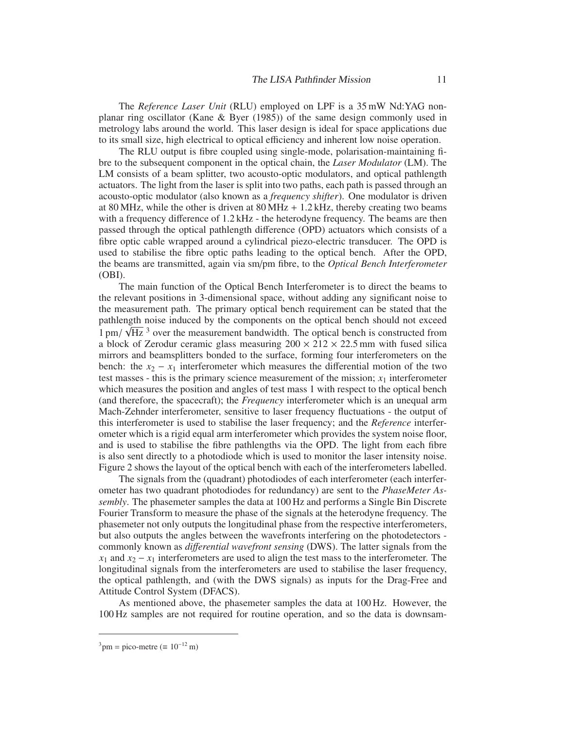The *Reference Laser Unit* (RLU) employed on LPF is a 35 mW Nd:YAG nonplanar ring oscillator (Kane & Byer (1985)) of the same design commonly used in metrology labs around the world. This laser design is ideal for space applications due to its small size, high electrical to optical efficiency and inherent low noise operation.

The RLU output is fibre coupled using single-mode, polarisation-maintaining fibre to the subsequent component in the optical chain, the *Laser Modulator* (LM). The LM consists of a beam splitter, two acousto-optic modulators, and optical pathlength actuators. The light from the laser is split into two paths, each path is passed through an acousto-optic modulator (also known as a *frequency shifter*). One modulator is driven at 80 MHz, while the other is driven at 80 MHz  $+ 1.2$  kHz, thereby creating two beams with a frequency difference of 1.2 kHz - the heterodyne frequency. The beams are then passed through the optical pathlength difference (OPD) actuators which consists of a fibre optic cable wrapped around a cylindrical piezo-electric transducer. The OPD is used to stabilise the fibre optic paths leading to the optical bench. After the OPD, the beams are transmitted, again via sm/pm fibre, to the *Optical Bench Interferometer* (OBI).

The main function of the Optical Bench Interferometer is to direct the beams to the relevant positions in 3-dimensional space, without adding any significant noise to the measurement path. The primary optical bench requirement can be stated that the pathlength noise induced by the components on the optical bench should not exceed  $1 \text{ pm} / \sqrt{\text{Hz}}$ <sup>3</sup> over the measurement bandwidth. The optical bench is constructed from a block of Zerodur ceramic glass measuring  $200 \times 212 \times 22.5$  mm with fused silica mirrors and beamsplitters bonded to the surface, forming four interferometers on the bench: the  $x_2 - x_1$  interferometer which measures the differential motion of the two test masses - this is the primary science measurement of the mission;  $x_1$  interferometer which measures the position and angles of test mass 1 with respect to the optical bench (and therefore, the spacecraft); the *Frequency* interferometer which is an unequal arm Mach-Zehnder interferometer, sensitive to laser frequency fluctuations - the output of this interferometer is used to stabilise the laser frequency; and the *Reference* interferometer which is a rigid equal arm interferometer which provides the system noise floor, and is used to stabilise the fibre pathlengths via the OPD. The light from each fibre is also sent directly to a photodiode which is used to monitor the laser intensity noise. Figure 2 shows the layout of the optical bench with each of the interferometers labelled.

The signals from the (quadrant) photodiodes of each interferometer (each interferometer has two quadrant photodiodes for redundancy) are sent to the *PhaseMeter Assembly*. The phasemeter samples the data at 100 Hz and performs a Single Bin Discrete Fourier Transform to measure the phase of the signals at the heterodyne frequency. The phasemeter not only outputs the longitudinal phase from the respective interferometers, but also outputs the angles between the wavefronts interfering on the photodetectors commonly known as *di*ff*erential wavefront sensing* (DWS). The latter signals from the  $x_1$  and  $x_2 - x_1$  interferometers are used to align the test mass to the interferometer. The longitudinal signals from the interferometers are used to stabilise the laser frequency, the optical pathlength, and (with the DWS signals) as inputs for the Drag-Free and Attitude Control System (DFACS).

As mentioned above, the phasemeter samples the data at 100 Hz. However, the 100 Hz samples are not required for routine operation, and so the data is downsam-

 $3 \text{pm} = \text{pico-metre} \ (\equiv 10^{-12} \text{m})$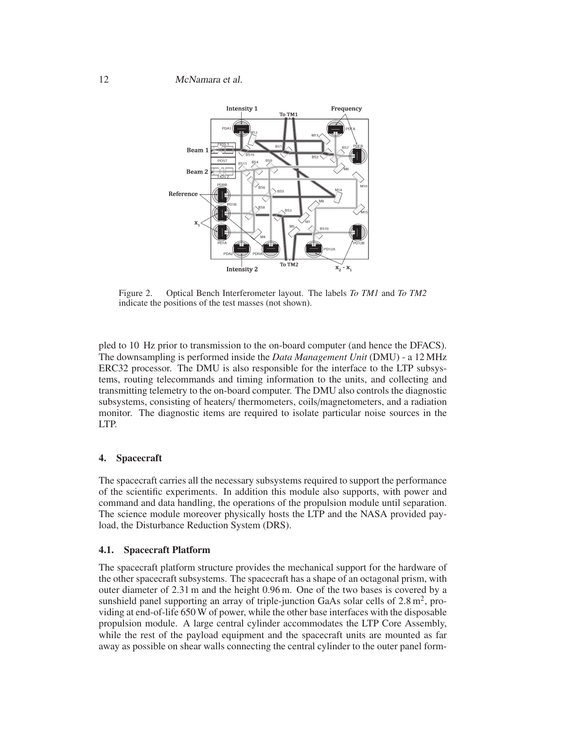

Figure 2. Optical Bench Interferometer layout. The labels *To TM1* and *To TM2* indicate the positions of the test masses (not shown).

pled to 10 Hz prior to transmission to the on-board computer (and hence the DFACS). The downsampling is performed inside the *Data Management Unit* (DMU) - a 12 MHz ERC32 processor. The DMU is also responsible for the interface to the LTP subsystems, routing telecommands and timing information to the units, and collecting and transmitting telemetry to the on-board computer. The DMU also controls the diagnostic subsystems, consisting of heaters/ thermometers, coils/magnetometers, and a radiation monitor. The diagnostic items are required to isolate particular noise sources in the LTP.

# **4. Spacecraft**

The spacecraft carries all the necessary subsystems required to support the performance of the scientific experiments. In addition this module also supports, with power and command and data handling, the operations of the propulsion module until separation. The science module moreover physically hosts the LTP and the NASA provided payload, the Disturbance Reduction System (DRS).

# **4.1. Spacecraft Platform**

The spacecraft platform structure provides the mechanical support for the hardware of the other spacecraft subsystems. The spacecraft has a shape of an octagonal prism, with outer diameter of 2.31 m and the height 0.96 m. One of the two bases is covered by a sunshield panel supporting an array of triple-junction GaAs solar cells of  $2.8 \text{ m}^2$ , providing at end-of-life 650 W of power, while the other base interfaces with the disposable propulsion module. A large central cylinder accommodates the LTP Core Assembly, while the rest of the payload equipment and the spacecraft units are mounted as far away as possible on shear walls connecting the central cylinder to the outer panel form-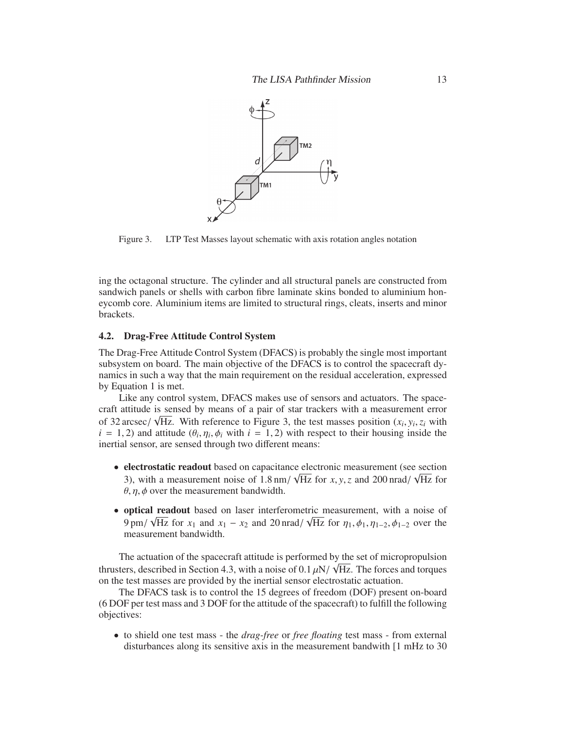

Figure 3. LTP Test Masses layout schematic with axis rotation angles notation

ing the octagonal structure. The cylinder and all structural panels are constructed from sandwich panels or shells with carbon fibre laminate skins bonded to aluminium honeycomb core. Aluminium items are limited to structural rings, cleats, inserts and minor brackets.

#### **4.2. Drag-Free Attitude Control System**

The Drag-Free Attitude Control System (DFACS) is probably the single most important subsystem on board. The main objective of the DFACS is to control the spacecraft dynamics in such a way that the main requirement on the residual acceleration, expressed by Equation 1 is met.

Like any control system, DFACS makes use of sensors and actuators. The spacecraft attitude is sensed by means of a pair of star trackers with a measurement error of 32 arcsec/  $\sqrt{Hz}$ . With reference to Figure 3, the test masses position  $(x_i, y_i, z_i)$  with  $i = 1, 2$ ) and attitude  $(\theta_i, \eta_i, \phi_i)$  with  $i = 1, 2$ ) with respect to their housing inside the inertial sensor, are sensed through two different means:

- **electrostatic readout** based on capacitance electronic measurement (see section 3), with a measurement noise of 1.8 nm/  $\sqrt{Hz}$  for *x*, *y*, *z* and 200 nrad/  $\sqrt{Hz}$  for  $\theta$ ,  $\eta$ ,  $\phi$  over the measurement bandwidth.
- **optical readout** based on laser interferometric measurement, with a noise of 9 pm/  $\sqrt{Hz}$  for  $x_1$  and  $x_1 - x_2$  and 20 nrad/  $\sqrt{Hz}$  for  $\eta_1, \phi_1, \eta_{1-2}, \phi_{1-2}$  over the measurement bandwidth.

The actuation of the spacecraft attitude is performed by the set of micropropulsion thrusters, described in Section 4.3, with a noise of 0.1  $\mu$ N/  $\sqrt{Hz}$ . The forces and torques on the test masses are provided by the inertial sensor electrostatic actuation.

The DFACS task is to control the 15 degrees of freedom (DOF) present on-board (6 DOF per test mass and 3 DOF for the attitude of the spacecraft) to fulfill the following objectives:

• to shield one test mass - the *drag-free* or *free floating* test mass - from external disturbances along its sensitive axis in the measurement bandwith [1 mHz to 30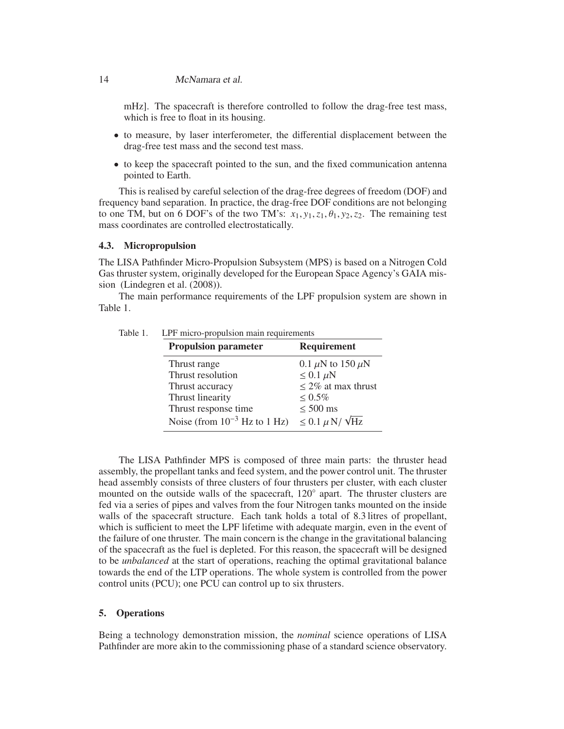#### 14 McNamara et al.

mHz]. The spacecraft is therefore controlled to follow the drag-free test mass, which is free to float in its housing.

- to measure, by laser interferometer, the differential displacement between the drag-free test mass and the second test mass.
- to keep the spacecraft pointed to the sun, and the fixed communication antenna pointed to Earth.

This is realised by careful selection of the drag-free degrees of freedom (DOF) and frequency band separation. In practice, the drag-free DOF conditions are not belonging to one TM, but on 6 DOF's of the two TM's:  $x_1, y_1, z_1, \theta_1, y_2, z_2$ . The remaining test mass coordinates are controlled electrostatically.

# **4.3. Micropropulsion**

The LISA Pathfinder Micro-Propulsion Subsystem (MPS) is based on a Nitrogen Cold Gas thruster system, originally developed for the European Space Agency's GAIA mission (Lindegren et al. (2008)).

The main performance requirements of the LPF propulsion system are shown in Table 1.

|  | <b>Propulsion parameter</b>       | <b>Requirement</b>            |
|--|-----------------------------------|-------------------------------|
|  | Thrust range                      | 0.1 $\mu$ N to 150 $\mu$ N    |
|  | Thrust resolution                 | $\leq 0.1 \mu N$              |
|  | Thrust accuracy                   | $\leq$ 2% at max thrust       |
|  | Thrust linearity                  | $\leq 0.5\%$                  |
|  | Thrust response time              | $\leq 500$ ms                 |
|  | Noise (from $10^{-3}$ Hz to 1 Hz) | $\leq 0.1 \mu$ N/ $\sqrt{Hz}$ |

The LISA Pathfinder MPS is composed of three main parts: the thruster head assembly, the propellant tanks and feed system, and the power control unit. The thruster head assembly consists of three clusters of four thrusters per cluster, with each cluster mounted on the outside walls of the spacecraft, 120° apart. The thruster clusters are fed via a series of pipes and valves from the four Nitrogen tanks mounted on the inside walls of the spacecraft structure. Each tank holds a total of 8.3 litres of propellant, which is sufficient to meet the LPF lifetime with adequate margin, even in the event of the failure of one thruster. The main concern is the change in the gravitational balancing of the spacecraft as the fuel is depleted. For this reason, the spacecraft will be designed to be *unbalanced* at the start of operations, reaching the optimal gravitational balance towards the end of the LTP operations. The whole system is controlled from the power control units (PCU); one PCU can control up to six thrusters.

# **5. Operations**

Being a technology demonstration mission, the *nominal* science operations of LISA Pathfinder are more akin to the commissioning phase of a standard science observatory.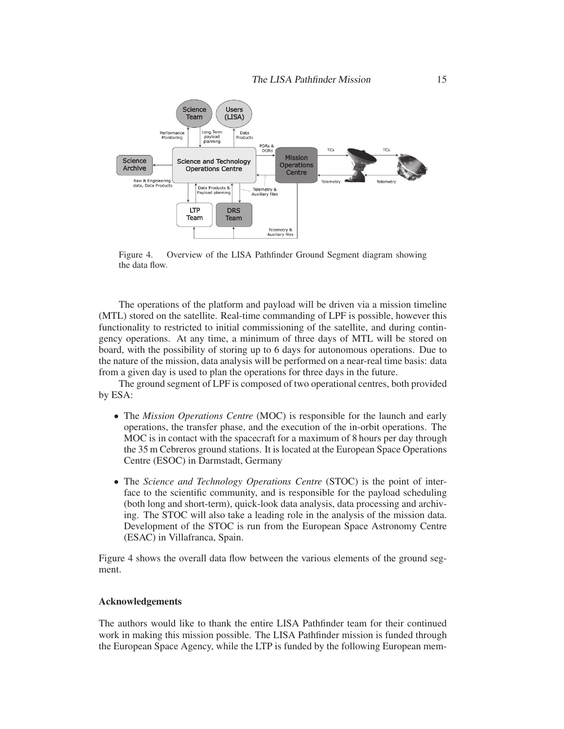

Figure 4. Overview of the LISA Pathfinder Ground Segment diagram showing the data flow.

The operations of the platform and payload will be driven via a mission timeline (MTL) stored on the satellite. Real-time commanding of LPF is possible, however this functionality to restricted to initial commissioning of the satellite, and during contingency operations. At any time, a minimum of three days of MTL will be stored on board, with the possibility of storing up to 6 days for autonomous operations. Due to the nature of the mission, data analysis will be performed on a near-real time basis: data from a given day is used to plan the operations for three days in the future.

The ground segment of LPF is composed of two operational centres, both provided by ESA:

- The *Mission Operations Centre* (MOC) is responsible for the launch and early operations, the transfer phase, and the execution of the in-orbit operations. The MOC is in contact with the spacecraft for a maximum of 8 hours per day through the 35 m Cebreros ground stations. It is located at the European Space Operations Centre (ESOC) in Darmstadt, Germany
- The *Science and Technology Operations Centre* (STOC) is the point of interface to the scientific community, and is responsible for the payload scheduling (both long and short-term), quick-look data analysis, data processing and archiving. The STOC will also take a leading role in the analysis of the mission data. Development of the STOC is run from the European Space Astronomy Centre (ESAC) in Villafranca, Spain.

Figure 4 shows the overall data flow between the various elements of the ground segment.

#### **Acknowledgements**

The authors would like to thank the entire LISA Pathfinder team for their continued work in making this mission possible. The LISA Pathfinder mission is funded through the European Space Agency, while the LTP is funded by the following European mem